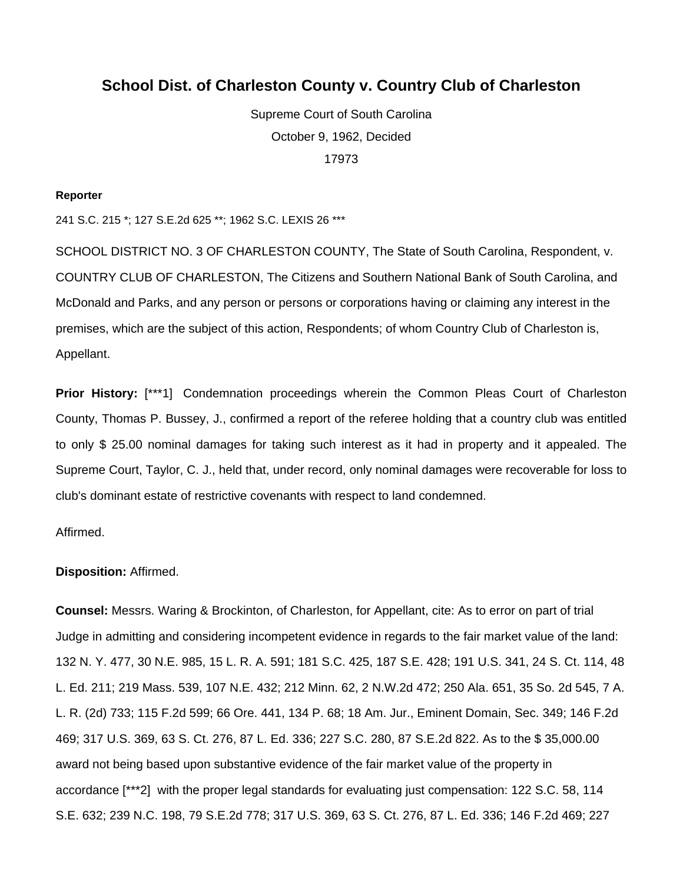# **School Dist. of Charleston County v. Country Club of Charleston**

Supreme Court of South Carolina October 9, 1962, Decided 17973

#### **Reporter**

241 S.C. 215 \*; 127 S.E.2d 625 \*\*; 1962 S.C. LEXIS 26 \*\*\*

SCHOOL DISTRICT NO. 3 OF CHARLESTON COUNTY, The State of South Carolina, Respondent, v. COUNTRY CLUB OF CHARLESTON, The Citizens and Southern National Bank of South Carolina, and McDonald and Parks, and any person or persons or corporations having or claiming any interest in the premises, which are the subject of this action, Respondents; of whom Country Club of Charleston is, Appellant.

**Prior History:** [\*\*\*1] Condemnation proceedings wherein the Common Pleas Court of Charleston County, Thomas P. Bussey, J., confirmed a report of the referee holding that a country club was entitled to only \$ 25.00 nominal damages for taking such interest as it had in property and it appealed. The Supreme Court, Taylor, C. J., held that, under record, only nominal damages were recoverable for loss to club's dominant estate of restrictive covenants with respect to land condemned.

#### Affirmed.

#### **Disposition:** Affirmed.

**Counsel:** Messrs. Waring & Brockinton, of Charleston, for Appellant, cite: As to error on part of trial Judge in admitting and considering incompetent evidence in regards to the fair market value of the land: 132 N. Y. 477, 30 N.E. 985, 15 L. R. A. 591; 181 S.C. 425, 187 S.E. 428; 191 U.S. 341, 24 S. Ct. 114, 48 L. Ed. 211; 219 Mass. 539, 107 N.E. 432; 212 Minn. 62, 2 N.W.2d 472; 250 Ala. 651, 35 So. 2d 545, 7 A. L. R. (2d) 733; 115 F.2d 599; 66 Ore. 441, 134 P. 68; 18 Am. Jur., Eminent Domain, Sec. 349; 146 F.2d 469; 317 U.S. 369, 63 S. Ct. 276, 87 L. Ed. 336; 227 S.C. 280, 87 S.E.2d 822. As to the \$ 35,000.00 award not being based upon substantive evidence of the fair market value of the property in accordance [\*\*\*2] with the proper legal standards for evaluating just compensation: 122 S.C. 58, 114 S.E. 632; 239 N.C. 198, 79 S.E.2d 778; 317 U.S. 369, 63 S. Ct. 276, 87 L. Ed. 336; 146 F.2d 469; 227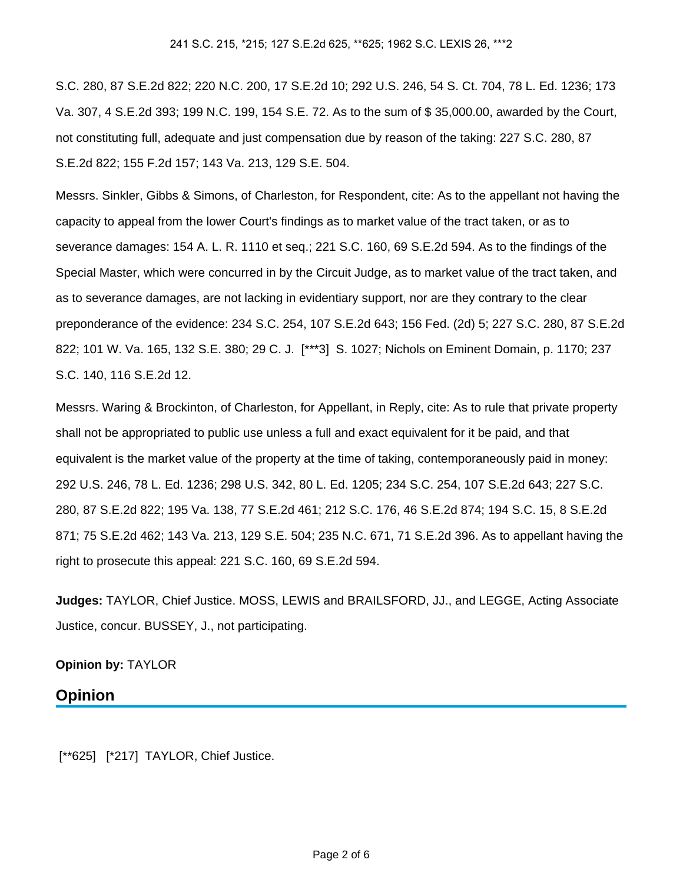S.C. 280, 87 S.E.2d 822; 220 N.C. 200, 17 S.E.2d 10; 292 U.S. 246, 54 S. Ct. 704, 78 L. Ed. 1236; 173 Va. 307, 4 S.E.2d 393; 199 N.C. 199, 154 S.E. 72. As to the sum of \$ 35,000.00, awarded by the Court, not constituting full, adequate and just compensation due by reason of the taking: 227 S.C. 280, 87 S.E.2d 822; 155 F.2d 157; 143 Va. 213, 129 S.E. 504.

Messrs. Sinkler, Gibbs & Simons, of Charleston, for Respondent, cite: As to the appellant not having the capacity to appeal from the lower Court's findings as to market value of the tract taken, or as to severance damages: 154 A. L. R. 1110 et seq.; 221 S.C. 160, 69 S.E.2d 594. As to the findings of the Special Master, which were concurred in by the Circuit Judge, as to market value of the tract taken, and as to severance damages, are not lacking in evidentiary support, nor are they contrary to the clear preponderance of the evidence: 234 S.C. 254, 107 S.E.2d 643; 156 Fed. (2d) 5; 227 S.C. 280, 87 S.E.2d 822; 101 W. Va. 165, 132 S.E. 380; 29 C. J. [\*\*\*3] S. 1027; Nichols on Eminent Domain, p. 1170; 237 S.C. 140, 116 S.E.2d 12.

Messrs. Waring & Brockinton, of Charleston, for Appellant, in Reply, cite: As to rule that private property shall not be appropriated to public use unless a full and exact equivalent for it be paid, and that equivalent is the market value of the property at the time of taking, contemporaneously paid in money: 292 U.S. 246, 78 L. Ed. 1236; 298 U.S. 342, 80 L. Ed. 1205; 234 S.C. 254, 107 S.E.2d 643; 227 S.C. 280, 87 S.E.2d 822; 195 Va. 138, 77 S.E.2d 461; 212 S.C. 176, 46 S.E.2d 874; 194 S.C. 15, 8 S.E.2d 871; 75 S.E.2d 462; 143 Va. 213, 129 S.E. 504; 235 N.C. 671, 71 S.E.2d 396. As to appellant having the right to prosecute this appeal: 221 S.C. 160, 69 S.E.2d 594.

**Judges:** TAYLOR, Chief Justice. MOSS, LEWIS and BRAILSFORD, JJ., and LEGGE, Acting Associate Justice, concur. BUSSEY, J., not participating.

### **Opinion by:** TAYLOR

## **Opinion**

[\*\*625] [\*217] TAYLOR, Chief Justice.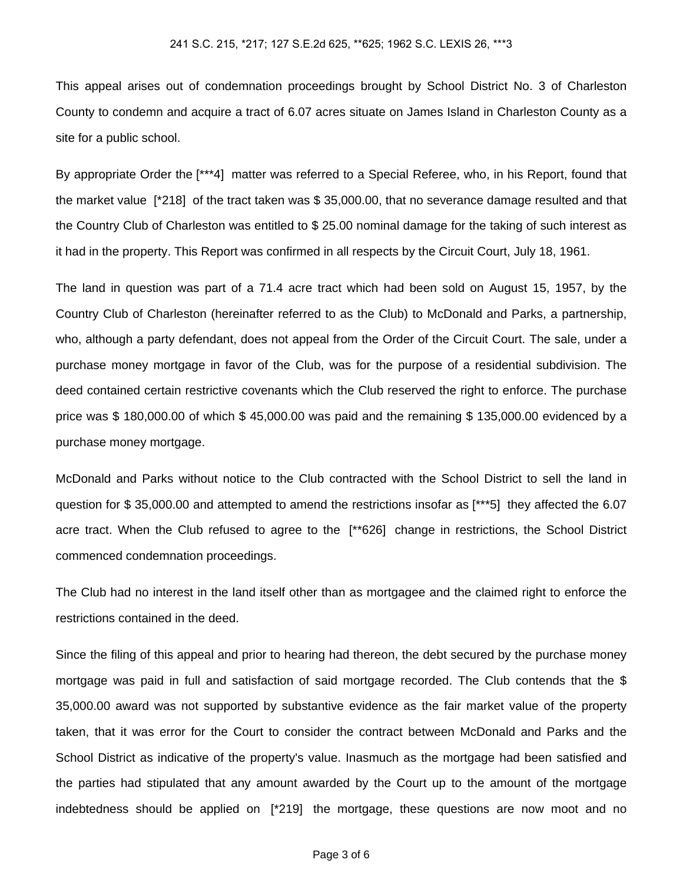This appeal arises out of condemnation proceedings brought by School District No. 3 of Charleston County to condemn and acquire a tract of 6.07 acres situate on James Island in Charleston County as a site for a public school.

By appropriate Order the [\*\*\*4] matter was referred to a Special Referee, who, in his Report, found that the market value [\*218] of the tract taken was \$ 35,000.00, that no severance damage resulted and that the Country Club of Charleston was entitled to \$ 25.00 nominal damage for the taking of such interest as it had in the property. This Report was confirmed in all respects by the Circuit Court, July 18, 1961.

The land in question was part of a 71.4 acre tract which had been sold on August 15, 1957, by the Country Club of Charleston (hereinafter referred to as the Club) to McDonald and Parks, a partnership, who, although a party defendant, does not appeal from the Order of the Circuit Court. The sale, under a purchase money mortgage in favor of the Club, was for the purpose of a residential subdivision. The deed contained certain restrictive covenants which the Club reserved the right to enforce. The purchase price was \$ 180,000.00 of which \$ 45,000.00 was paid and the remaining \$ 135,000.00 evidenced by a purchase money mortgage.

McDonald and Parks without notice to the Club contracted with the School District to sell the land in question for \$ 35,000.00 and attempted to amend the restrictions insofar as [\*\*\*5] they affected the 6.07 acre tract. When the Club refused to agree to the [\*\*626] change in restrictions, the School District commenced condemnation proceedings.

The Club had no interest in the land itself other than as mortgagee and the claimed right to enforce the restrictions contained in the deed.

Since the filing of this appeal and prior to hearing had thereon, the debt secured by the purchase money mortgage was paid in full and satisfaction of said mortgage recorded. The Club contends that the \$ 35,000.00 award was not supported by substantive evidence as the fair market value of the property taken, that it was error for the Court to consider the contract between McDonald and Parks and the School District as indicative of the property's value. Inasmuch as the mortgage had been satisfied and the parties had stipulated that any amount awarded by the Court up to the amount of the mortgage indebtedness should be applied on [\*219] the mortgage, these questions are now moot and no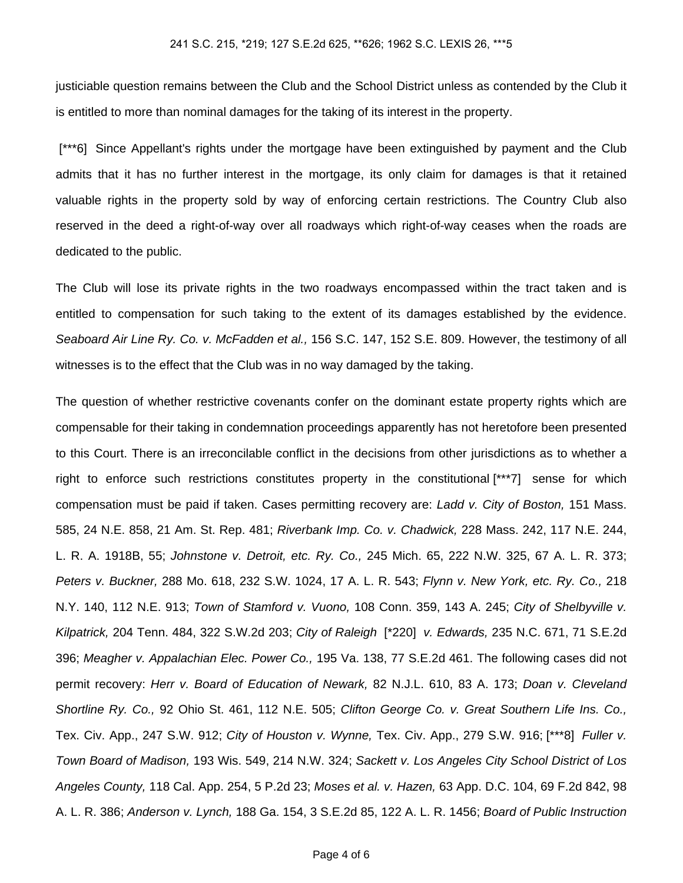justiciable question remains between the Club and the School District unless as contended by the Club it is entitled to more than nominal damages for the taking of its interest in the property.

 [\*\*\*6] Since Appellant's rights under the mortgage have been extinguished by payment and the Club admits that it has no further interest in the mortgage, its only claim for damages is that it retained valuable rights in the property sold by way of enforcing certain restrictions. The Country Club also reserved in the deed a right-of-way over all roadways which right-of-way ceases when the roads are dedicated to the public.

The Club will lose its private rights in the two roadways encompassed within the tract taken and is entitled to compensation for such taking to the extent of its damages established by the evidence. Seaboard Air Line Ry. Co. v. McFadden et al., 156 S.C. 147, 152 S.E. 809. However, the testimony of all witnesses is to the effect that the Club was in no way damaged by the taking.

The question of whether restrictive covenants confer on the dominant estate property rights which are compensable for their taking in condemnation proceedings apparently has not heretofore been presented to this Court. There is an irreconcilable conflict in the decisions from other jurisdictions as to whether a right to enforce such restrictions constitutes property in the constitutional [\*\*\*7] sense for which compensation must be paid if taken. Cases permitting recovery are: Ladd v. City of Boston, 151 Mass. 585, 24 N.E. 858, 21 Am. St. Rep. 481; Riverbank Imp. Co. v. Chadwick, 228 Mass. 242, 117 N.E. 244, L. R. A. 1918B, 55; Johnstone v. Detroit, etc. Ry. Co., 245 Mich. 65, 222 N.W. 325, 67 A. L. R. 373; Peters v. Buckner, 288 Mo. 618, 232 S.W. 1024, 17 A. L. R. 543; Flynn v. New York, etc. Ry. Co., 218 N.Y. 140, 112 N.E. 913; Town of Stamford v. Vuono, 108 Conn. 359, 143 A. 245; City of Shelbyville v. Kilpatrick, 204 Tenn. 484, 322 S.W.2d 203; City of Raleigh [\*220] v. Edwards, 235 N.C. 671, 71 S.E.2d 396; Meagher v. Appalachian Elec. Power Co., 195 Va. 138, 77 S.E.2d 461. The following cases did not permit recovery: Herr v. Board of Education of Newark, 82 N.J.L. 610, 83 A. 173; Doan v. Cleveland Shortline Ry. Co., 92 Ohio St. 461, 112 N.E. 505; Clifton George Co. v. Great Southern Life Ins. Co., Tex. Civ. App., 247 S.W. 912; City of Houston v. Wynne, Tex. Civ. App., 279 S.W. 916; [\*\*\*8] Fuller v. Town Board of Madison, 193 Wis. 549, 214 N.W. 324; Sackett v. Los Angeles City School District of Los Angeles County, 118 Cal. App. 254, 5 P.2d 23; Moses et al. v. Hazen, 63 App. D.C. 104, 69 F.2d 842, 98 A. L. R. 386; Anderson v. Lynch, 188 Ga. 154, 3 S.E.2d 85, 122 A. L. R. 1456; Board of Public Instruction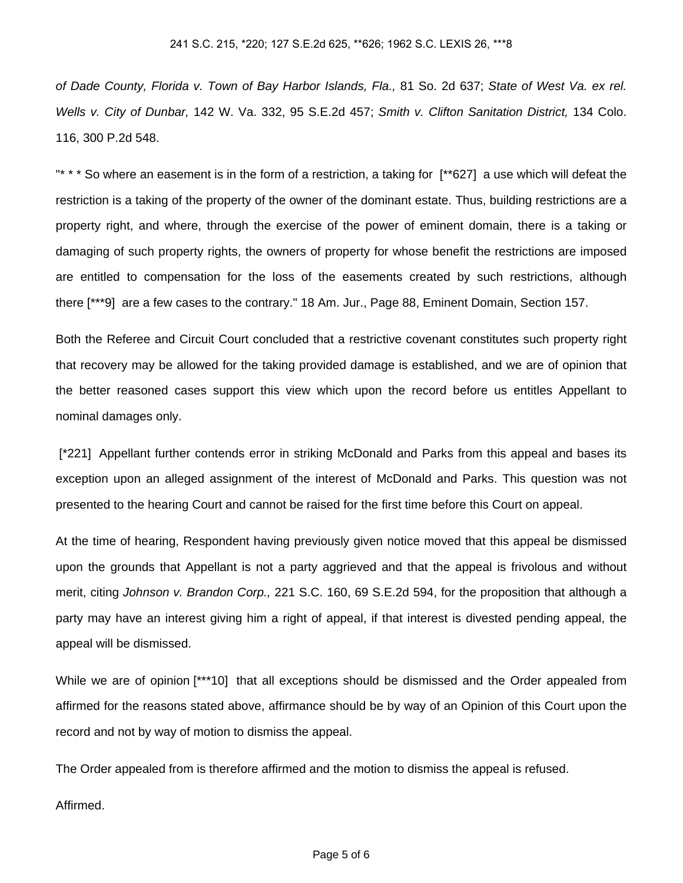of Dade County, Florida v. Town of Bay Harbor Islands, Fla., 81 So. 2d 637; State of West Va. ex rel. Wells v. City of Dunbar, 142 W. Va. 332, 95 S.E.2d 457; Smith v. Clifton Sanitation District, 134 Colo. 116, 300 P.2d 548.

"\* \* \* So where an easement is in the form of a restriction, a taking for [\*\*627] a use which will defeat the restriction is a taking of the property of the owner of the dominant estate. Thus, building restrictions are a property right, and where, through the exercise of the power of eminent domain, there is a taking or damaging of such property rights, the owners of property for whose benefit the restrictions are imposed are entitled to compensation for the loss of the easements created by such restrictions, although there [\*\*\*9] are a few cases to the contrary." 18 Am. Jur., Page 88, Eminent Domain, Section 157.

Both the Referee and Circuit Court concluded that a restrictive covenant constitutes such property right that recovery may be allowed for the taking provided damage is established, and we are of opinion that the better reasoned cases support this view which upon the record before us entitles Appellant to nominal damages only.

 [\*221] Appellant further contends error in striking McDonald and Parks from this appeal and bases its exception upon an alleged assignment of the interest of McDonald and Parks. This question was not presented to the hearing Court and cannot be raised for the first time before this Court on appeal.

At the time of hearing, Respondent having previously given notice moved that this appeal be dismissed upon the grounds that Appellant is not a party aggrieved and that the appeal is frivolous and without merit, citing Johnson v. Brandon Corp., 221 S.C. 160, 69 S.E.2d 594, for the proposition that although a party may have an interest giving him a right of appeal, if that interest is divested pending appeal, the appeal will be dismissed.

While we are of opinion [\*\*\*10] that all exceptions should be dismissed and the Order appealed from affirmed for the reasons stated above, affirmance should be by way of an Opinion of this Court upon the record and not by way of motion to dismiss the appeal.

The Order appealed from is therefore affirmed and the motion to dismiss the appeal is refused.

Affirmed.